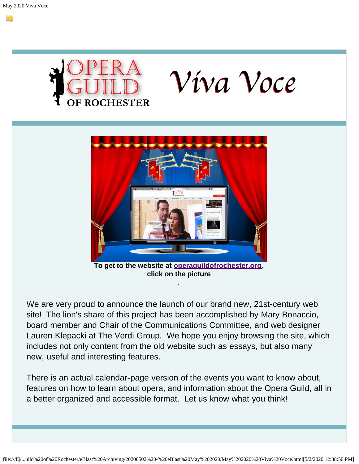



We are very proud to announce the launch of our brand new, 21st-century web site! The lion's share of this project has been accomplished by Mary Bonaccio, board member and Chair of the Communications Committee, and web designer Lauren Klepacki at The Verdi Group. We hope you enjoy browsing the site, which includes not only content from the old website such as essays, but also many new, useful and interesting features.

.

There is an actual calendar-page version of the events you want to know about, features on how to learn about opera, and information about the Opera Guild, all in a better organized and accessible format. Let us know what you think!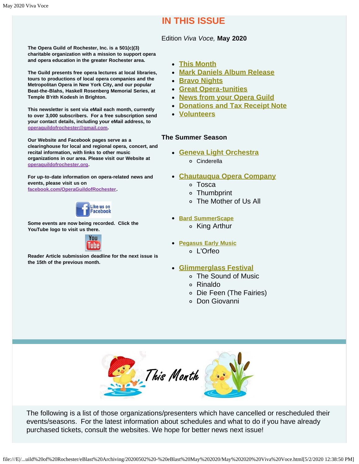### **IN THIS ISSUE**

#### Edition *Viva Voce,* **May 2020**

<span id="page-1-1"></span>**The Opera Guild of Rochester, Inc. is a 501(c)(3) charitable organization with a mission to support opera and opera education in the greater Rochester area.**

**The Guild presents free opera lectures at local libraries, tours to productions of local opera companies and the Metropolitan Opera in New York City, and our popular Beat-the-Blahs, Haskell Rosenberg Memorial Series, at Temple B'rith Kodesh in Brighton.**

**This newsletter is sent via eMail each month, currently to over 3,000 subscribers. For a free subscription send your contact details, including your eMail address, to [operaguildofrochester@gmail.com](mailto:operaguildofrochester@gmail.com).**

**Our Website and Facebook pages serve as a clearinghouse for local and regional opera, concert, and recital information, with links to other music organizations in our area. Please visit our Website at [operaguildofrochester.org](http://operaguildofrochester.org/).**

**For up-to-date information on opera-related news and events, please visit us on [facebook.com/OperaGuildofRochester](http://facebook.com/OperaGuildofRochester).**



**Some events are now being recorded. Click the YouTube logo to visit us there.**



**Reader Article submission deadline for the next issue is the 15th of the previous month.**

- **[This Month](#page-1-0)**
- **[Mark Daniels Album Release](#page-3-0)**
- **[Bravo Nights](#page-3-1)**
- **[Great Opera-tunities](#page-3-2)**
- **[News from your Opera Guild](#page-4-0)**
- **[Donations and Tax Receipt Note](#page-4-1)**
- **[Volunteers](#page-5-0)**

#### **The Summer Season**

- **[Geneva Light Orchestra](#page-5-1)**
	- Cinderella

#### **[Chautauqua Opera Company](#page-9-0)**

- Tosca
- Thumbprint
- The Mother of Us All
- **[Bard SummerScape](#page-6-0)**
	- King Arthur
- **[Pegasus Early Music](#page-7-0)**
	- L'Orfeo
- **[Glimmerglass Festival](#page-8-0)**
	- The Sound of Music
	- Rinaldo
	- Die Feen (The Fairies)
	- Don Giovanni



<span id="page-1-0"></span>The following is a list of those organizations/presenters which have cancelled or rescheduled their events/seasons. For the latest information about schedules and what to do if you have already purchased tickets, consult the websites. We hope for better news next issue!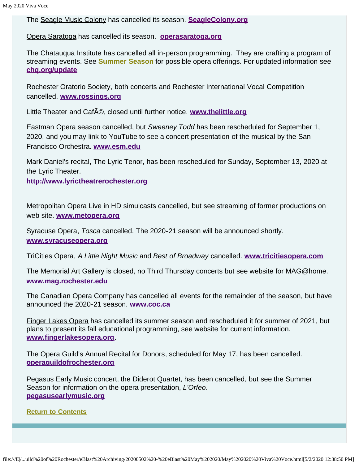The Seagle Music Colony has cancelled its season. **[SeagleColony.org](http://seaglecolony.org/)**

Opera Saratoga has cancelled its season. **[operasaratoga.org](http://www.operasaratoga.org/)**

The Chatauqua Institute has cancelled all in-person programming. They are crafting a program of streaming events. See **[Summer Season](#page-9-0)** for possible opera offerings. For updated information see **[chq.org/update](http://chq.org/update)**

Rochester Oratorio Society, both concerts and Rochester International Vocal Competition cancelled. **[www.rossings.org](http://www.rossings.org/)**

Little Theater and CafA<sup>®</sup>, closed until further notice. [www.thelittle.org](http://www.thelittle.org/)

Eastman Opera season cancelled, but *Sweeney Todd* has been rescheduled for September 1, 2020, and you may link to YouTube to see a concert presentation of the musical by the San Francisco Orchestra. **[www.esm.edu](http://www.esm.edu/)**

Mark Daniel's recital, The Lyric Tenor, has been rescheduled for Sunday, September 13, 2020 at the Lyric Theater.

**[http://www.lyrictheatrerochester.org](http://www.lyrictheatrerochester.org/)**

Metropolitan Opera Live in HD simulcasts cancelled, but see streaming of former productions on web site. **[www.metopera.org](http://www.metopera.org/)**

Syracuse Opera, *Tosca* cancelled. The 2020-21 season will be announced shortly. **[www.syracuseopera.org](http://www.syracuseopera.org/)**

TriCities Opera, *A Little Night Music* and *Best of Broadway* cancelled. **[www.tricitiesopera.com](http://www.tricitiesopera.com/)**

The Memorial Art Gallery is closed, no Third Thursday concerts but see website for MAG@home. **[www.mag.rochester.edu](http://www.mag.rochester.edu/)**

The Canadian Opera Company has cancelled all events for the remainder of the season, but have announced the 2020-21 season. **[www.coc.ca](http://www.coc.ca/)**

Finger Lakes Opera has cancelled its summer season and rescheduled it for summer of 2021, but plans to present its fall educational programming, see website for current information. **[www.fingerlakesopera.org](http://www.fingerlakesopera.org/)**.

The Opera Guild's Annual Recital for Donors, scheduled for May 17, has been cancelled. **[operaguildofrochester.org](http://operaguildofrochester.org/)**

Pegasus Early Music concert, the Diderot Quartet, has been cancelled, but see the Summer Season for information on the opera presentation, *L'Orfeo*. **[pegasusearlymusic.org](http://www.pegasusearlymusic.org/)**

**[Return to Contents](#page-1-1)**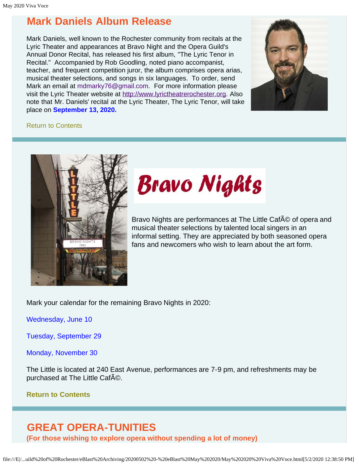### <span id="page-3-0"></span>**Mark Daniels Album Release**

Mark Daniels, well known to the Rochester community from recitals at the Lyric Theater and appearances at Bravo Night and the Opera Guild's Annual Donor Recital, has released his first album, "The Lyric Tenor in Recital." Accompanied by Rob Goodling, noted piano accompanist, teacher, and frequent competition juror, the album comprises opera arias, musical theater selections, and songs in six languages. To order, send Mark an email at [mdmarky76@gmail.com](mailto:mdmarky76@gmail.com). For more information please visit the Lyric Theater website at [http://www.lyrictheatrerochester.org.](http://www.lyrictheatrerochester.org/) Also note that Mr. Daniels' recital at the Lyric Theater, The Lyric Tenor, will take place on **September 13, 2020.** 



#### [Return to Contents](#page-1-1)

<span id="page-3-1"></span>

# **Bravo Nights**

Bravo Nights are performances at The Little CafA © of opera and musical theater selections by talented local singers in an informal setting. They are appreciated by both seasoned opera fans and newcomers who wish to learn about the art form.

Mark your calendar for the remaining Bravo Nights in 2020:

Wednesday, June 10

Tuesday, September 29

Monday, November 30

The Little is located at 240 East Avenue, performances are 7-9 pm, and refreshments may be purchased at The Little CafAO.

#### **[Return to Contents](#page-1-1)**

### <span id="page-3-2"></span>**GREAT OPERA-TUNITIES**

**(For those wishing to explore opera without spending a lot of money)**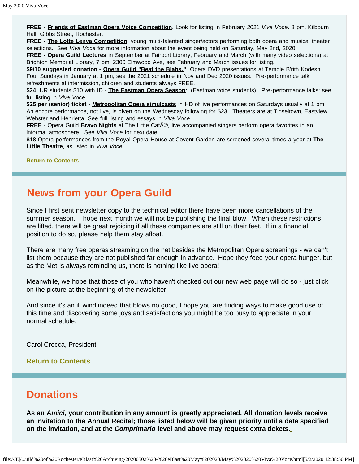**FREE - Friends of Eastman Opera Voice Competition**. Look for listing in February 2021 *Viva Voce*. 8 pm, Kilbourn Hall, Gibbs Street, Rochester.

**FREE - The Lotte Lenya Competition**: young multi-talented singer/actors performing both opera and musical theater selections. See *Viva Voce* for more information about the event being held on Saturday, May 2nd, 2020.

**FREE - Opera Guild Lectures** in September at Fairport Library, February and March (with many video selections) at Brighton Memorial Library, 7 pm, 2300 Elmwood Ave, see February and March issues for listing.

\$9/10 suggested donation - Opera Guild "Beat the Blahs." Opera DVD presentations at Temple B'rith Kodesh. Four Sundays in January at 1 pm, see the 2021 schedule in Nov and Dec 2020 issues. Pre-performance talk, refreshments at intermission, children and students always FREE.

**\$24**; UR students \$10 with ID - **The Eastman Opera Season**: (Eastman voice students). Pre-performance talks; see full listing in *Viva Voce*.

**\$25 per (senior) ticket - Metropolitan Opera simulcasts** in HD of live performances on Saturdays usually at 1 pm. An encore performance, not live, is given on the Wednesday following for \$23. Theaters are at Tinseltown, Eastview, Webster and Henrietta. See full listing and essays in *Viva Voce.*

FREE - Opera Guild Bravo Nights at The Little Caf©, live accompanied singers perform opera favorites in an informal atmosphere. See *Viva Voce* for next date.

**\$18** Opera performances from the Royal Opera House at Covent Garden are screened several times a year at **The Little Theatre**, as listed in *Viva Voce*.

**[Return to Contents](#page-1-1)**

### <span id="page-4-0"></span>**News from your Opera Guild**

Since I first sent newsletter copy to the technical editor there have been more cancellations of the summer season. I hope next month we will not be publishing the final blow. When these restrictions are lifted, there will be great rejoicing if all these companies are still on their feet. If in a financial position to do so, please help them stay afloat.

There are many free operas streaming on the net besides the Metropolitan Opera screenings - we can't list them because they are not published far enough in advance. Hope they feed your opera hunger, but as the Met is always reminding us, there is nothing like live opera!

Meanwhile, we hope that those of you who haven't checked out our new web page will do so - just click on the picture at the beginning of the newsletter.

And since it's an ill wind indeed that blows no good, I hope you are finding ways to make good use of this time and discovering some joys and satisfactions you might be too busy to appreciate in your normal schedule.

Carol Crocca, President

#### **[Return to Contents](#page-1-1)**

### <span id="page-4-1"></span>**Donations**

**As an** *Amici***, your contribution in any amount is greatly appreciated. All donation levels receive an invitation to the Annual Recital; those listed below will be given priority until a date specified on the invitation, and at the** *Comprimario* **level and above may request extra tickets.**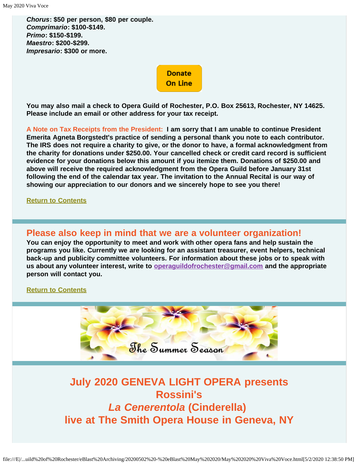*Chorus***: \$50 per person, \$80 per couple.** *Comprimario***: \$100-\$149.** *Primo***: \$150-\$199.** *Maestro***: \$200-\$299.** *Impresario***: \$300 or more.**

> **Donate On Line**

**You may also mail a check to Opera Guild of Rochester, P.O. Box 25613, Rochester, NY 14625. Please include an email or other address for your tax receipt.**

**A Note on Tax Receipts from the President: I am sorry that I am unable to continue President Emerita Agneta Borgstedt's practice of sending a personal thank you note to each contributor. The IRS does not require a charity to give, or the donor to have, a formal acknowledgment from the charity for donations under \$250.00. Your cancelled check or credit card record is sufficient evidence for your donations below this amount if you itemize them. Donations of \$250.00 and above will receive the required acknowledgment from the Opera Guild before January 31st following the end of the calendar tax year. The invitation to the Annual Recital is our way of showing our appreciation to our donors and we sincerely hope to see you there!**

#### **[Return to Contents](#page-1-1)**

### <span id="page-5-0"></span>**Please also keep in mind that we are a volunteer organization!**

**You can enjoy the opportunity to meet and work with other opera fans and help sustain the programs you like. Currently we are looking for an assistant treasurer, event helpers, technical back-up and publicity committee volunteers. For information about these jobs or to speak with us about any volunteer interest, write to [operaguildofrochester@gmail.com](mailto:operaguildofrochester@gmail.com) and the appropriate person will contact you.**

#### **[Return to Contents](#page-1-1)**



### <span id="page-5-1"></span>**July 2020 GENEVA LIGHT OPERA presents Rossini's** *La Cenerentola* **(Cinderella) live at The Smith Opera House in Geneva, NY**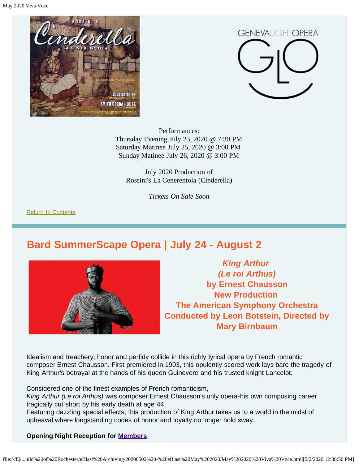May 2020 Viva Voce





Performances: Thursday Evening July 23, 2020 @ 7:30 PM Saturday Matinee July 25, 2020 @ 3:00 PM Sunday Matinee July 26, 2020 @ 3:00 PM

July 2020 Production of Rossini's La Cenerentola (Cinderella)

*Tickets On Sale Soon*

[Return to Contents](#page-1-1)

### <span id="page-6-0"></span>**Bard SummerScape Opera | July 24 - August 2**



*King Arthur (Le roi Arthus)* **by Ernest Chausson New Production The American Symphony Orchestra Conducted by Leon Botstein, Directed by Mary Birnbaum**

Idealism and treachery, honor and perfidy collide in this richly lyrical opera by French romantic composer Ernest Chausson. First premiered in 1903, this opulently scored work lays bare the tragedy of King Arthur's betrayal at the hands of his queen Guinevere and his trusted knight Lancelot.

Considered one of the finest examples of French romanticism,

*King Arthur (Le roi Arthus)* was composer Ernest Chausson's only opera-his own composing career tragically cut short by his early death at age 44.

Featuring dazzling special effects, this production of King Arthur takes us to a world in the midst of upheaval where longstanding codes of honor and loyalty no longer hold sway.

#### **Opening Night Reception for [Members](https://fishercenter.bard.edu/support/membership/)**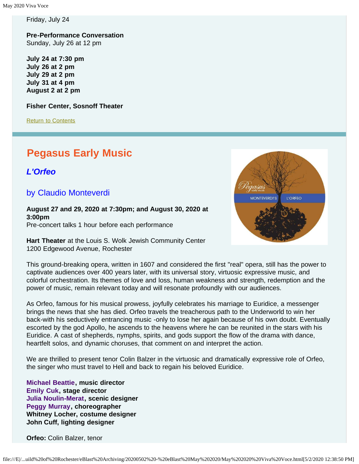Friday, July 24

**Pre-Performance Conversation** Sunday, July 26 at 12 pm

**July 24 at 7:30 pm July 26 at 2 pm July 29 at 2 pm July 31 at 4 pm August 2 at 2 pm**

**Fisher Center, Sosnoff Theater**

[Return to Contents](#page-1-1)

### <span id="page-7-0"></span>**Pegasus Early Music**

*L'Orfeo*

### by Claudio Monteverdi

**August 27 and 29, 2020 at 7:30pm; and August 30, 2020 at 3:00pm** Pre-concert talks 1 hour before each performance

**Hart Theater** at the Louis S. Wolk Jewish Community Center 1200 Edgewood Avenue, Rochester



This ground-breaking opera, written in 1607 and considered the first "real" opera, still has the power to captivate audiences over 400 years later, with its universal story, virtuosic expressive music, and colorful orchestration. Its themes of love and loss, human weakness and strength, redemption and the power of music, remain relevant today and will resonate profoundly with our audiences.

As Orfeo, famous for his musical prowess, joyfully celebrates his marriage to Euridice, a messenger brings the news that she has died. Orfeo travels the treacherous path to the Underworld to win her back-with his seductively entrancing music -only to lose her again because of his own doubt. Eventually escorted by the god Apollo, he ascends to the heavens where he can be reunited in the stars with his Euridice. A cast of shepherds, nymphs, spirits, and gods support the flow of the drama with dance, heartfelt solos, and dynamic choruses, that comment on and interpret the action.

We are thrilled to present tenor Colin Balzer in the virtuosic and dramatically expressive role of Orfeo, the singer who must travel to Hell and back to regain his beloved Euridice.

**[Michael Beattie](https://www.pegasusearlymusic.org/artist/michael-beattie/), music director [Emily Cuk](https://www.pegasusearlymusic.org/artist/emily-cuk/), stage director [Julia Noulin-Merat,](https://www.pegasusearlymusic.org/artist/julia-noulin-merat/) scenic designer [Peggy Murray,](https://www.pegasusearlymusic.org/artist/peggy-murray/) choreographer Whitney Locher, costume designer John Cuff, lighting designer**

**Orfeo:** Colin Balzer, tenor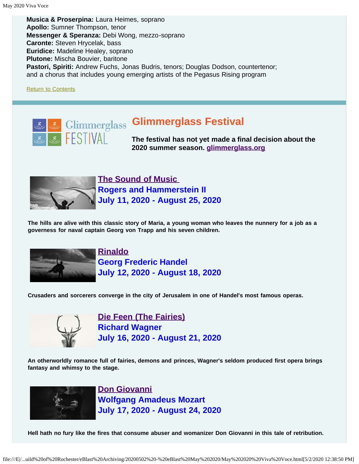**Musica & Proserpina:** Laura Heimes, soprano **Apollo:** Sumner Thompson, tenor **Messenger & Speranza:** Debi Wong, mezzo-soprano **Caronte:** Steven Hrycelak, bass **Euridice:** Madeline Healey, soprano **Plutone:** Mischa Bouvier, baritone **Pastori, Spiriti:** Andrew Fuchs, Jonas Budris, tenors; Douglas Dodson, countertenor; and a chorus that includes young emerging artists of the Pegasus Rising program

[Return to Contents](#page-1-1)

<span id="page-8-0"></span>

## **Glimmerglass Festival**

**The festival has not yet made a final decision about the 2020 summer season. [glimmerglass.org](http://www.glimmerglass.org/)**



**[The Sound of Music](https://glimmerglass.org/events/sound-of-music/)  Rogers and Hammerstein II July 11, 2020 - August 25, 2020**

**The hills are alive with this classic story of Maria, a young woman who leaves the nunnery for a job as a governess for naval captain Georg von Trapp and his seven children.**



**[Rinaldo](https://glimmerglass.org/events/rinaldo/) Georg Frederic Handel July 12, 2020 - August 18, 2020**

**Crusaders and sorcerers converge in the city of Jerusalem in one of Handel's most famous operas.**



**[Die Feen \(The Fairies\)](https://glimmerglass.org/events/die-feen/) Richard Wagner July 16, 2020 - August 21, 2020**

**An otherworldly romance full of fairies, demons and princes, Wagner's seldom produced first opera brings fantasy and whimsy to the stage.**



**[Don Giovanni](https://glimmerglass.org/events/don-giovanni/) Wolfgang Amadeus Mozart July 17, 2020 - August 24, 2020**

**Hell hath no fury like the fires that consume abuser and womanizer Don Giovanni in this tale of retribution.**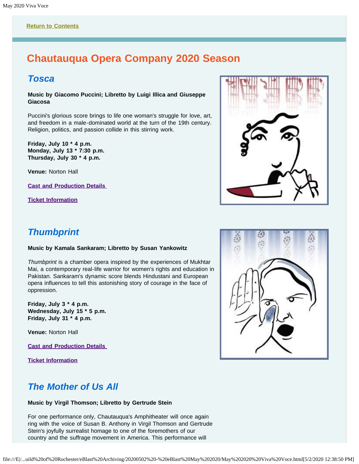### <span id="page-9-0"></span>**Chautauqua Opera Company 2020 Season**

### *Tosca*

**Music by Giacomo Puccini; Libretto by Luigi Illica and Giuseppe Giacosa**

Puccini's glorious score brings to life one woman's struggle for love, art, and freedom in a male-dominated world at the turn of the 19th century. Religion, politics, and passion collide in this stirring work.

**Friday, July 10 \* 4 p.m. Monday, July 13 \* 7:30 p.m. Thursday, July 30 \* 4 p.m.**

**Venue:** Norton Hall

**[Cast and Production Details](http://chq.org/opera-season/2020-season/tosca)** 

**[Ticket Information](https://chq.org/opera-season/ticket-information#tosca)**



### *Thumbprint*

#### **Music by Kamala Sankaram; Libretto by Susan Yankowitz**

*Thumbprint* is a chamber opera inspired by the experiences of Mukhtar Mai, a contemporary real-life warrior for women's rights and education in Pakistan. Sankaram's dynamic score blends Hindustani and European opera influences to tell this astonishing story of courage in the face of oppression.

**Friday, July 3 \* 4 p.m. Wednesday, July 15 \* 5 p.m. Friday, July 31 \* 4 p.m.**

**Venue:** Norton Hall

**[Cast and Production Details](http://chq.org/opera-season/2020-season/thumbprint)** 

**[Ticket Information](https://chq.org/opera-season/ticket-information#thumbprint)**



### *The Mother of Us All*

#### **Music by Virgil Thomson; Libretto by Gertrude Stein**

For one performance only, Chautauqua's Amphitheater will once again ring with the voice of Susan B. Anthony in Virgil Thomson and Gertrude Stein's joyfully surrealist homage to one of the foremothers of our country and the suffrage movement in America. This performance will